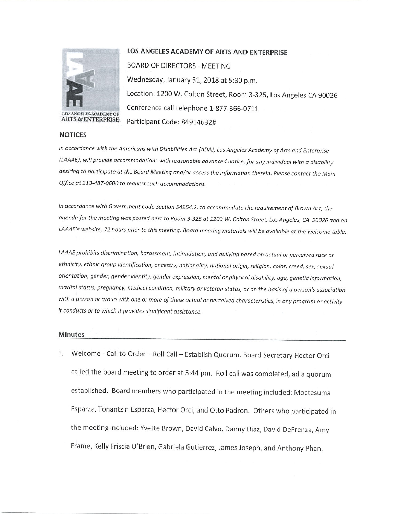

LOS ANGELES ACADEMY OF **ARTS & ENTERPRISE** 

## **NOTICES**

## LOS ANGELES ACADEMY OF ARTS AND ENTERPRISE

**BOARD OF DIRECTORS - MEETING** Wednesday, January 31, 2018 at 5:30 p.m. Location: 1200 W. Colton Street, Room 3-325, Los Angeles CA 90026 Conference call telephone 1-877-366-0711 Participant Code: 84914632#

In accordance with the Americans with Disabilities Act (ADA), Los Angeles Academy of Arts and Enterprise (LAAAE), will provide accommodations with reasonable advanced notice, for any individual with a disability desiring to participate at the Board Meeting and/or access the information therein. Please contact the Main Office at 213-487-0600 to request such accommodations.

In accordance with Government Code Section 54954.2, to accommodate the requirement of Brown Act, the agenda for the meeting was posted next to Room 3-325 at 1200 W. Colton Street, Los Angeles, CA 90026 and on LAAAE's website, 72 hours prior to this meeting. Board meeting materials will be available at the welcome table.

LAAAE prohibits discrimination, harassment, intimidation, and bullying based on actual or perceived race or ethnicity, ethnic group identification, ancestry, nationality, national origin, religion, color, creed, sex, sexual orientation, gender, gender identity, gender expression, mental or physical disability, age, genetic information, marital status, pregnancy, medical condition, military or veteran status, or on the basis of a person's association with a person or group with one or more of these actual or perceived characteristics, in any program or activity it conducts or to which it provides significant assistance.

## **Minutes**

Welcome - Call to Order - Roll Call - Establish Quorum. Board Secretary Hector Orci  $1.$ called the board meeting to order at 5:44 pm. Roll call was completed, ad a quorum established. Board members who participated in the meeting included: Moctesuma Esparza, Tonantzin Esparza, Hector Orci, and Otto Padron. Others who participated in the meeting included: Yvette Brown, David Calvo, Danny Diaz, David DeFrenza, Amy Frame, Kelly Friscia O'Brien, Gabriela Gutierrez, James Joseph, and Anthony Phan.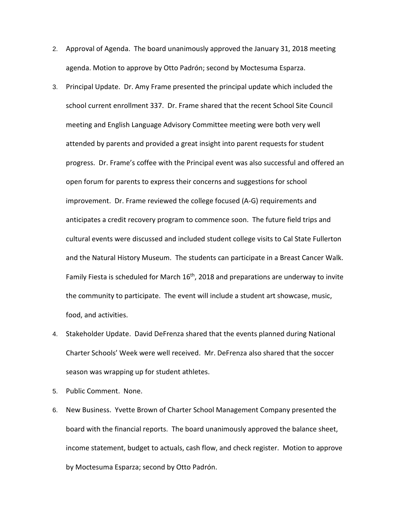- 2. Approval of Agenda. The board unanimously approved the January 31, 2018 meeting agenda. Motion to approve by Otto Padrón; second by Moctesuma Esparza.
- 3. Principal Update. Dr. Amy Frame presented the principal update which included the school current enrollment 337. Dr. Frame shared that the recent School Site Council meeting and English Language Advisory Committee meeting were both very well attended by parents and provided a great insight into parent requests for student progress. Dr. Frame's coffee with the Principal event was also successful and offered an open forum for parents to express their concerns and suggestions for school improvement. Dr. Frame reviewed the college focused (A-G) requirements and anticipates a credit recovery program to commence soon. The future field trips and cultural events were discussed and included student college visits to Cal State Fullerton and the Natural History Museum. The students can participate in a Breast Cancer Walk. Family Fiesta is scheduled for March  $16<sup>th</sup>$ , 2018 and preparations are underway to invite the community to participate. The event will include a student art showcase, music, food, and activities.
- 4. Stakeholder Update. David DeFrenza shared that the events planned during National Charter Schools' Week were well received. Mr. DeFrenza also shared that the soccer season was wrapping up for student athletes.
- 5. Public Comment. None.
- 6. New Business. Yvette Brown of Charter School Management Company presented the board with the financial reports. The board unanimously approved the balance sheet, income statement, budget to actuals, cash flow, and check register. Motion to approve by Moctesuma Esparza; second by Otto Padrón.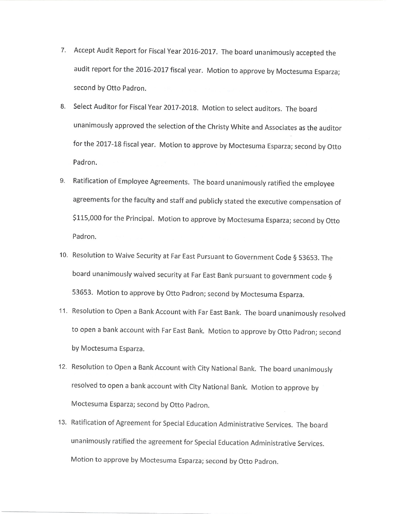- 7. Accept Audit Report for Fiscal Year 2016-2017. The board unanimously accepted the audit report for the 2016-2017 fiscal year. Motion to approve by Moctesuma Esparza; second by Otto Padron.
- 8. Select Auditor for Fiscal Year 2017-2018. Motion to select auditors. The board unanimously approved the selection of the Christy White and Associates as the auditor for the 2017-18 fiscal year. Motion to approve by Moctesuma Esparza; second by Otto Padron.
- 9. Ratification of Employee Agreements. The board unanimously ratified the employee agreements for the faculty and staff and publicly stated the executive compensation of \$115,000 for the Principal. Motion to approve by Moctesuma Esparza; second by Otto Padron.
- 10. Resolution to Waive Security at Far East Pursuant to Government Code § 53653. The board unanimously waived security at Far East Bank pursuant to government code § 53653. Motion to approve by Otto Padron; second by Moctesuma Esparza.
- 11. Resolution to Open a Bank Account with Far East Bank. The board unanimously resolved to open a bank account with Far East Bank. Motion to approve by Otto Padron; second by Moctesuma Esparza.
- 12. Resolution to Open a Bank Account with City National Bank. The board unanimously resolved to open a bank account with City National Bank. Motion to approve by Moctesuma Esparza; second by Otto Padron.
- 13. Ratification of Agreement for Special Education Administrative Services. The board unanimously ratified the agreement for Special Education Administrative Services. Motion to approve by Moctesuma Esparza; second by Otto Padron.